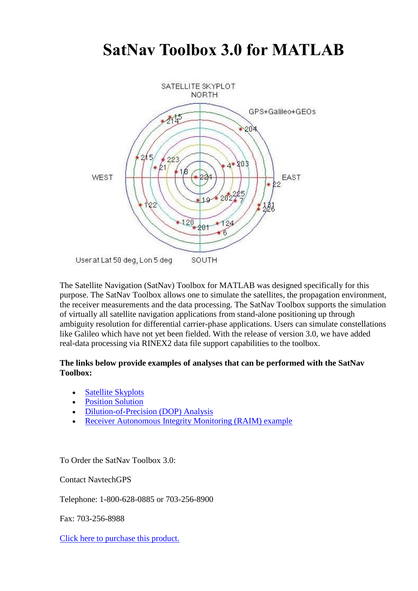### **SatNav Toolbox 3.0 for MATLAB**



The Satellite Navigation (SatNav) Toolbox for MATLAB was designed specifically for this purpose. The SatNav Toolbox allows one to simulate the satellites, the propagation environment, the receiver measurements and the data processing. The SatNav Toolbox supports the simulation of virtually all satellite navigation applications from stand-alone positioning up through ambiguity resolution for differential carrier-phase applications. Users can simulate constellations like Galileo which have not yet been fielded. With the release of version 3.0, we have added real-data processing via RINEX2 data file support capabilities to the toolbox.

#### **The links below provide examples of analyses that can be performed with the SatNav Toolbox:**

- [Satellite Skyplots](https://gpsoftnav.com/products/satellite-navigation-satnav-toolbox-3-0/satellite-skyplots-2/)
- [Position Solution](https://gpsoftnav.com/products/satellite-navigation-satnav-toolbox-3-0/position-solution/)
- [Dilution-of-Precision \(DOP\) Analysis](https://gpsoftnav.com/products/satellite-navigation-satnav-toolbox-3-0/dilution-precision-dop-analysis)
- [Receiver Autonomous Integrity Monitoring \(RAIM\) example](https://gpsoftnav.com/products/satellite-navigation-satnav-toolbox-3-0/receiver-autonomous-integrity-monitoring-raim-example)

To Order the SatNav Toolbox 3.0:

Contact NavtechGPS

Telephone: 1-800-628-0885 or 703-256-8900

Fax: 703-256-8988

[Click here to purchase this product.](http://www.navtechgps.com/satnav_toolbox/?F_Sort=2)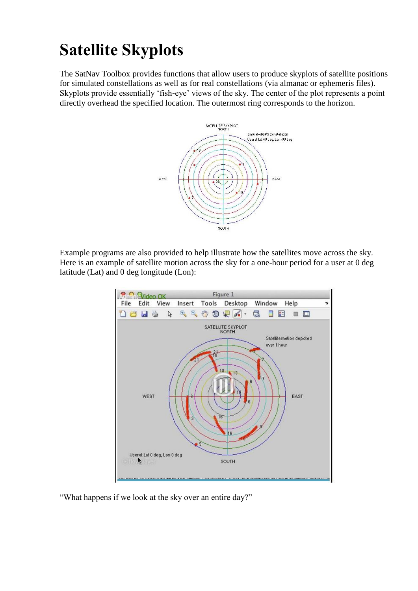# **Satellite Skyplots**

The SatNav Toolbox provides functions that allow users to produce skyplots of satellite positions for simulated constellations as well as for real constellations (via almanac or ephemeris files). Skyplots provide essentially "fish-eye" views of the sky. The center of the plot represents a point directly overhead the specified location. The outermost ring corresponds to the horizon.



Example programs are also provided to help illustrate how the satellites move across the sky. Here is an example of satellite motion across the sky for a one-hour period for a user at 0 deg latitude (Lat) and 0 deg longitude (Lon):



"What happens if we look at the sky over an entire day?"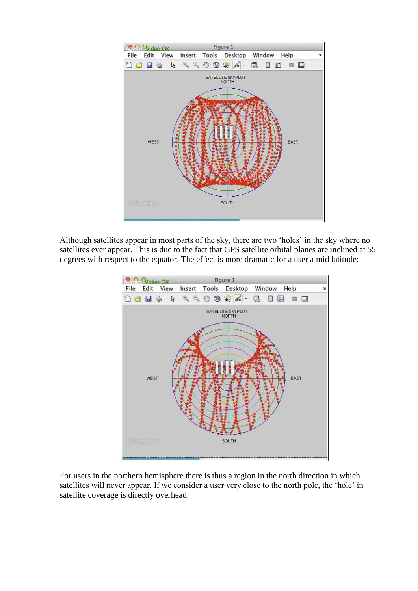

Although satellites appear in most parts of the sky, there are two "holes" in the sky where no satellites ever appear. This is due to the fact that GPS satellite orbital planes are inclined at 55 degrees with respect to the equator. The effect is more dramatic for a user a mid latitude:



For users in the northern hemisphere there is thus a region in the north direction in which satellites will never appear. If we consider a user very close to the north pole, the "hole" in satellite coverage is directly overhead: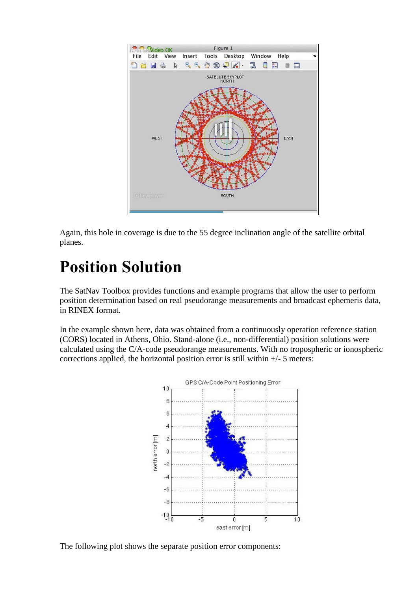

Again, this hole in coverage is due to the 55 degree inclination angle of the satellite orbital planes.

## **Position Solution**

The SatNav Toolbox provides functions and example programs that allow the user to perform position determination based on real pseudorange measurements and broadcast ephemeris data, in RINEX format.

In the example shown here, data was obtained from a continuously operation reference station (CORS) located in Athens, Ohio. Stand-alone (i.e., non-differential) position solutions were calculated using the C/A-code pseudorange measurements. With no tropospheric or ionospheric corrections applied, the horizontal position error is still within  $+/-$  5 meters:



The following plot shows the separate position error components: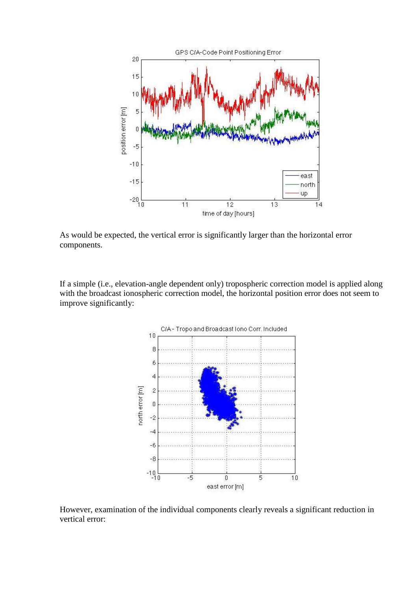

As would be expected, the vertical error is significantly larger than the horizontal error components.

If a simple (i.e., elevation-angle dependent only) tropospheric correction model is applied along with the broadcast ionospheric correction model, the horizontal position error does not seem to improve significantly:



However, examination of the individual components clearly reveals a significant reduction in vertical error: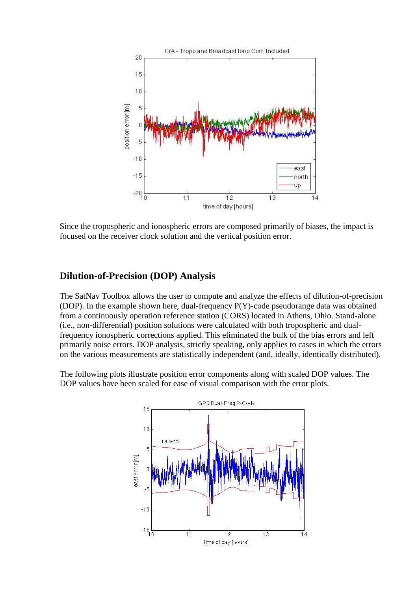

Since the tropospheric and ionospheric errors are composed primarily of biases, the impact is focused on the receiver clock solution and the vertical position error.

#### **Dilution-of-Precision (DOP) Analysis**

The SatNav Toolbox allows the user to compute and analyze the effects of dilution-of-precision (DOP). In the example shown here, dual-frequency P(Y)-code pseudorange data was obtained from a continuously operation reference station (CORS) located in Athens, Ohio. Stand-alone (i.e., non-differential) position solutions were calculated with both tropospheric and dualfrequency ionospheric corrections applied. This eliminated the bulk of the bias errors and left primarily noise errors. DOP analysis, strictly speaking, only applies to cases in which the errors on the various measurements are statistically independent (and, ideally, identically distributed).

The following plots illustrate position error components along with scaled DOP values. The DOP values have been scaled for ease of visual comparison with the error plots.

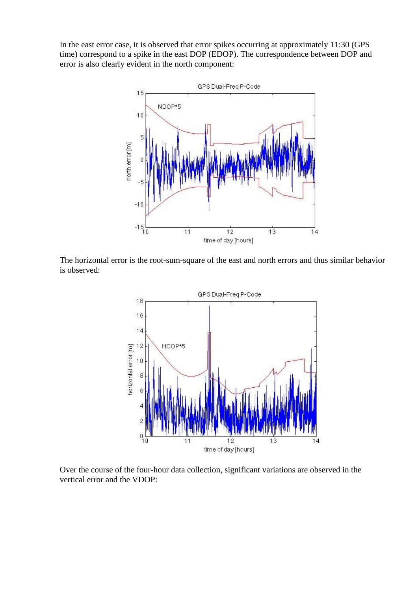In the east error case, it is observed that error spikes occurring at approximately 11:30 (GPS time) correspond to a spike in the east DOP (EDOP). The correspondence between DOP and error is also clearly evident in the north component:



The horizontal error is the root-sum-square of the east and north errors and thus similar behavior is observed:



Over the course of the four-hour data collection, significant variations are observed in the vertical error and the VDOP: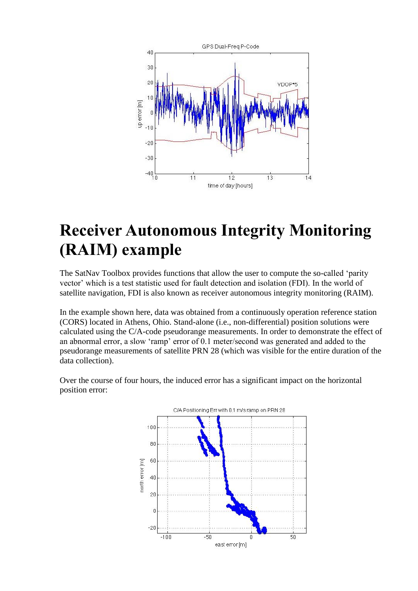

## **Receiver Autonomous Integrity Monitoring (RAIM) example**

The SatNav Toolbox provides functions that allow the user to compute the so-called "parity vector" which is a test statistic used for fault detection and isolation (FDI). In the world of satellite navigation, FDI is also known as receiver autonomous integrity monitoring (RAIM).

In the example shown here, data was obtained from a continuously operation reference station (CORS) located in Athens, Ohio. Stand-alone (i.e., non-differential) position solutions were calculated using the C/A-code pseudorange measurements. In order to demonstrate the effect of an abnormal error, a slow "ramp" error of 0.1 meter/second was generated and added to the pseudorange measurements of satellite PRN 28 (which was visible for the entire duration of the data collection).



Over the course of four hours, the induced error has a significant impact on the horizontal position error: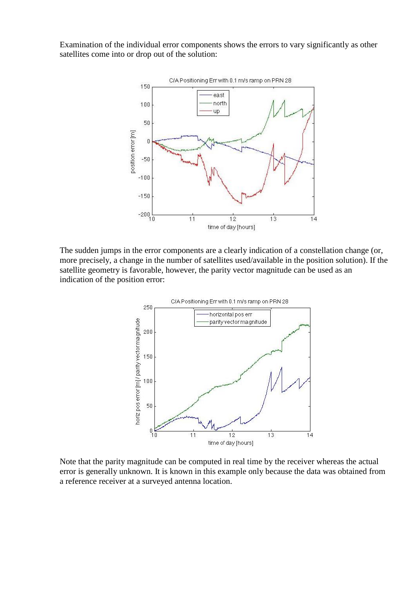Examination of the individual error components shows the errors to vary significantly as other satellites come into or drop out of the solution:



The sudden jumps in the error components are a clearly indication of a constellation change (or, more precisely, a change in the number of satellites used/available in the position solution). If the satellite geometry is favorable, however, the parity vector magnitude can be used as an indication of the position error:



Note that the parity magnitude can be computed in real time by the receiver whereas the actual error is generally unknown. It is known in this example only because the data was obtained from a reference receiver at a surveyed antenna location.